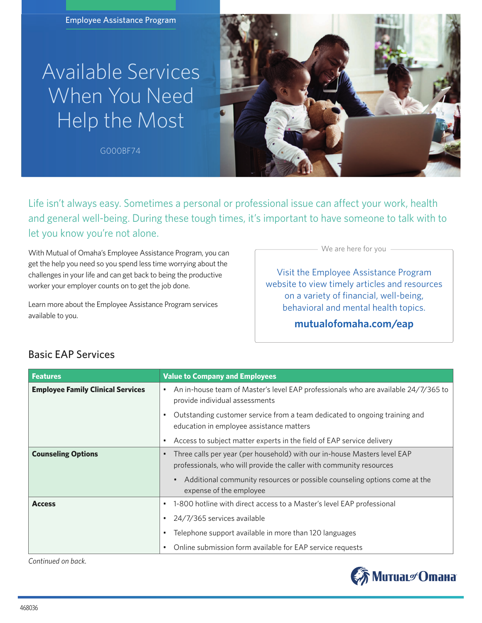Employee Assistance Program

## Available Services When You Need Help the Most

**G000BF74**



Life isn't always easy. Sometimes a personal or professional issue can affect your work, health and general well-being. During these tough times, it's important to have someone to talk with to let you know you're not alone.

With Mutual of Omaha's Employee Assistance Program, you can get the help you need so you spend less time worrying about the challenges in your life and can get back to being the productive worker your employer counts on to get the job done.

Learn more about the Employee Assistance Program services available to you.

We are here for you

Visit the Employee Assistance Program website to view timely articles and resources on a variety of financial, well-being, behavioral and mental health topics.

## **mutualofomaha.com/eap**

| <b>Features</b>                          | <b>Value to Company and Employees</b>                                                                                                           |
|------------------------------------------|-------------------------------------------------------------------------------------------------------------------------------------------------|
| <b>Employee Family Clinical Services</b> | An in-house team of Master's level EAP professionals who are available 24/7/365 to<br>$\bullet$<br>provide individual assessments               |
|                                          | Outstanding customer service from a team dedicated to ongoing training and<br>education in employee assistance matters                          |
|                                          | Access to subject matter experts in the field of EAP service delivery                                                                           |
| <b>Counseling Options</b>                | Three calls per year (per household) with our in-house Masters level EAP<br>professionals, who will provide the caller with community resources |
|                                          | Additional community resources or possible counseling options come at the<br>expense of the employee                                            |
| <b>Access</b>                            | 1-800 hotline with direct access to a Master's level EAP professional                                                                           |
|                                          | 24/7/365 services available                                                                                                                     |
|                                          | Telephone support available in more than 120 languages                                                                                          |
|                                          | Online submission form available for EAP service requests                                                                                       |

## Basic EAP Services

*Continued on back.*